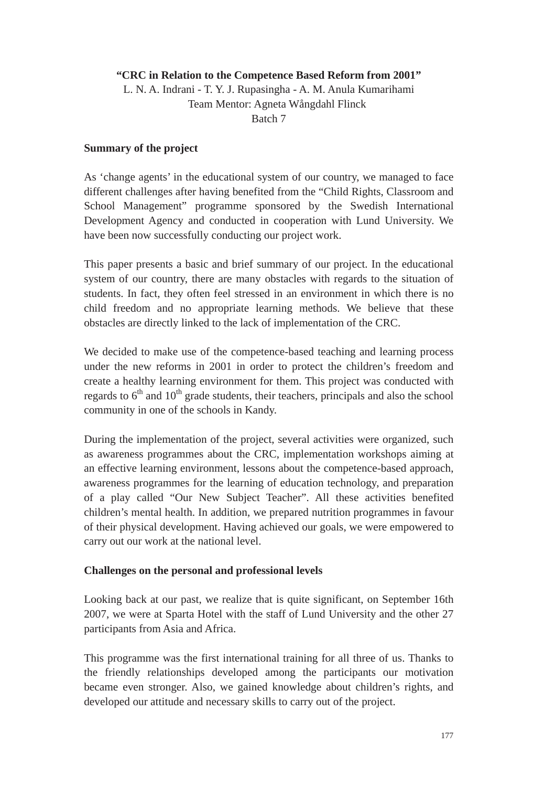## **"CRC in Relation to the Competence Based Reform from 2001"**

L. N. A. Indrani - T. Y. J. Rupasingha - A. M. Anula Kumarihami Team Mentor: Agneta Wångdahl Flinck Batch 7

## **Summary of the project**

As 'change agents' in the educational system of our country, we managed to face different challenges after having benefited from the "Child Rights, Classroom and School Management" programme sponsored by the Swedish International Development Agency and conducted in cooperation with Lund University. We have been now successfully conducting our project work.

This paper presents a basic and brief summary of our project. In the educational system of our country, there are many obstacles with regards to the situation of students. In fact, they often feel stressed in an environment in which there is no child freedom and no appropriate learning methods. We believe that these obstacles are directly linked to the lack of implementation of the CRC.

We decided to make use of the competence-based teaching and learning process under the new reforms in 2001 in order to protect the children's freedom and create a healthy learning environment for them. This project was conducted with regards to  $6<sup>th</sup>$  and  $10<sup>th</sup>$  grade students, their teachers, principals and also the school community in one of the schools in Kandy.

During the implementation of the project, several activities were organized, such as awareness programmes about the CRC, implementation workshops aiming at an effective learning environment, lessons about the competence-based approach, awareness programmes for the learning of education technology, and preparation of a play called "Our New Subject Teacher". All these activities benefited children's mental health. In addition, we prepared nutrition programmes in favour of their physical development. Having achieved our goals, we were empowered to carry out our work at the national level.

## **Challenges on the personal and professional levels**

Looking back at our past, we realize that is quite significant, on September 16th 2007, we were at Sparta Hotel with the staff of Lund University and the other 27 participants from Asia and Africa.

This programme was the first international training for all three of us. Thanks to the friendly relationships developed among the participants our motivation became even stronger. Also, we gained knowledge about children's rights, and developed our attitude and necessary skills to carry out of the project.